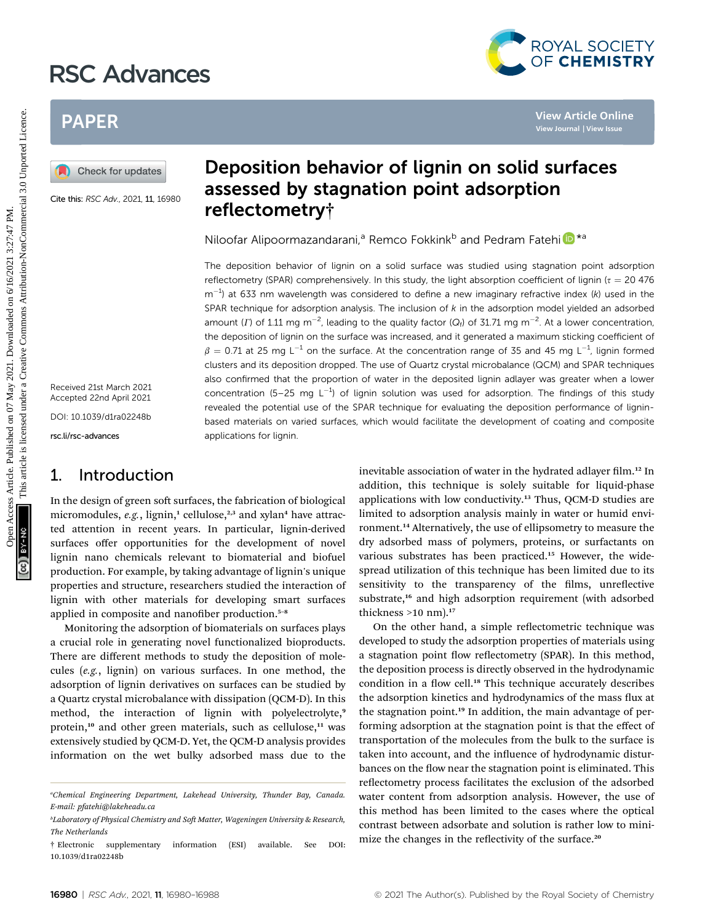# RSC Advances



# PAPER

Cite this: RSC Adv., 2021, 11, 16980

Received 21st March 2021 Accepted 22nd April 2021 DOI: 10.1039/d1ra02248b

rsc.li/rsc-advances

# 1. Introduction

In the design of green soft surfaces, the fabrication of biological micromodules,  $e.g.,$  lignin,<sup>1</sup> cellulose,<sup>2,3</sup> and xylan<sup>4</sup> have attracted attention in recent years. In particular, lignin-derived surfaces offer opportunities for the development of novel lignin nano chemicals relevant to biomaterial and biofuel production. For example, by taking advantage of lignin's unique properties and structure, researchers studied the interaction of lignin with other materials for developing smart surfaces applied in composite and nanofiber production.<sup>5-8</sup>

Monitoring the adsorption of biomaterials on surfaces plays a crucial role in generating novel functionalized bioproducts. There are different methods to study the deposition of molecules (e.g., lignin) on various surfaces. In one method, the adsorption of lignin derivatives on surfaces can be studied by a Quartz crystal microbalance with dissipation (QCM-D). In this method, the interaction of lignin with polyelectrolyte,<sup>9</sup> protein,<sup>10</sup> and other green materials, such as cellulose,<sup>11</sup> was extensively studied by QCM-D. Yet, the QCM-D analysis provides information on the wet bulky adsorbed mass due to the

# Deposition behavior of lignin on solid surfaces assessed by stagnation point adsorption reflectometry†

Niloofar Alipoormazandarani,<sup>a</sup> Remco Fokkink<sup>b</sup> and Pedram Fatehi D<sup>\*a</sup>

The deposition behavior of lignin on a solid surface was studied using stagnation point adsorption reflectometry (SPAR) comprehensively. In this study, the light absorption coefficient of lignin ( $\tau = 20476$  $m^{-1}$ ) at 633 nm wavelength was considered to define a new imaginary refractive index (k) used in the SPAR technique for adsorption analysis. The inclusion of  $k$  in the adsorption model yielded an adsorbed amount (*I*) of 1.11 mg m<sup>-2</sup>, leading to the quality factor ( $Q_f$ ) of 31.71 mg m<sup>-2</sup>. At a lower concentration, the deposition of lignin on the surface was increased, and it generated a maximum sticking coefficient of  $\beta = 0.71$  at 25 mg L<sup>-1</sup> on the surface. At the concentration range of 35 and 45 mg L<sup>-1</sup>, lignin formed clusters and its deposition dropped. The use of Quartz crystal microbalance (QCM) and SPAR techniques also confirmed that the proportion of water in the deposited lignin adlayer was greater when a lower concentration (5-25 mg  $L^{-1}$ ) of lignin solution was used for adsorption. The findings of this study revealed the potential use of the SPAR technique for evaluating the deposition performance of ligninbased materials on varied surfaces, which would facilitate the development of coating and composite applications for lignin. PAPER<br> **EXERCT AND AND DEPOSITION DENSITY OF LIGNIN ON SOLID SUFFACES<br>
Create first And, 2021 11.1698<br>
Create first And, 2021 11.1698<br>
The deposition behavior of lignin on solid surfaces<br>
The deposition behavior of lignin** 

inevitable association of water in the hydrated adlayer film.<sup>12</sup> In addition, this technique is solely suitable for liquid-phase applications with low conductivity.<sup>13</sup> Thus, QCM-D studies are limited to adsorption analysis mainly in water or humid environment.<sup>14</sup> Alternatively, the use of ellipsometry to measure the dry adsorbed mass of polymers, proteins, or surfactants on various substrates has been practiced.<sup>15</sup> However, the widespread utilization of this technique has been limited due to its sensitivity to the transparency of the films, unreflective substrate,<sup>16</sup> and high adsorption requirement (with adsorbed thickness  $>10$  nm).<sup>17</sup>

On the other hand, a simple reflectometric technique was developed to study the adsorption properties of materials using a stagnation point flow reflectometry (SPAR). In this method, the deposition process is directly observed in the hydrodynamic condition in a flow cell.<sup>18</sup> This technique accurately describes the adsorption kinetics and hydrodynamics of the mass flux at the stagnation point.<sup>19</sup> In addition, the main advantage of performing adsorption at the stagnation point is that the effect of transportation of the molecules from the bulk to the surface is taken into account, and the influence of hydrodynamic disturbances on the flow near the stagnation point is eliminated. This reflectometry process facilitates the exclusion of the adsorbed water content from adsorption analysis. However, the use of this method has been limited to the cases where the optical contrast between adsorbate and solution is rather low to minimize the changes in the reflectivity of the surface.<sup>20</sup>

a Chemical Engineering Department, Lakehead University, Thunder Bay, Canada. E-mail: pfatehi@lakeheadu.ca

<sup>&</sup>lt;sup>b</sup>Laboratory of Physical Chemistry and Soft Matter, Wageningen University & Research, The Netherlands

<sup>†</sup> Electronic supplementary information (ESI) available. See DOI: 10.1039/d1ra02248b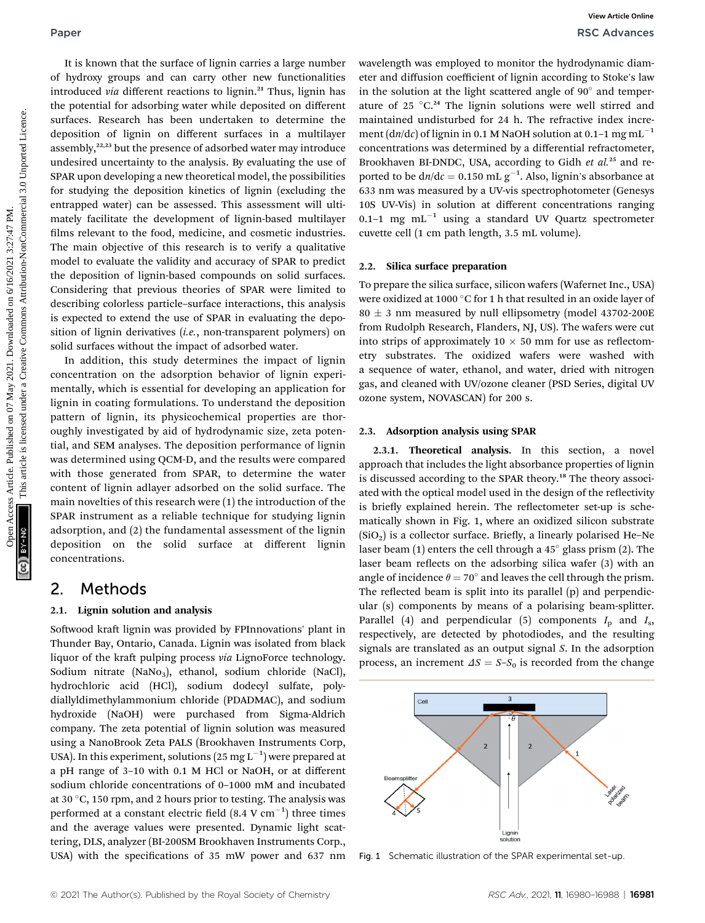It is known that the surface of lignin carries a large number of hydroxy groups and can carry other new functionalities introduced via different reactions to lignin.<sup>21</sup> Thus, lignin has the potential for adsorbing water while deposited on different surfaces. Research has been undertaken to determine the deposition of lignin on different surfaces in a multilayer assembly,<sup>22,23</sup> but the presence of adsorbed water may introduce undesired uncertainty to the analysis. By evaluating the use of SPAR upon developing a new theoretical model, the possibilities for studying the deposition kinetics of lignin (excluding the entrapped water) can be assessed. This assessment will ultimately facilitate the development of lignin-based multilayer films relevant to the food, medicine, and cosmetic industries. The main objective of this research is to verify a qualitative model to evaluate the validity and accuracy of SPAR to predict the deposition of lignin-based compounds on solid surfaces. Considering that previous theories of SPAR were limited to describing colorless particle–surface interactions, this analysis is expected to extend the use of SPAR in evaluating the deposition of lignin derivatives (i.e., non-transparent polymers) on solid surfaces without the impact of adsorbed water. Paper<br>
It is known that be surface of ligain curies a large number wavelength was employed to montent on the payer of the payer of the common different on 02 May 2022. The ligain solution of the payer of the spectral of t

In addition, this study determines the impact of lignin concentration on the adsorption behavior of lignin experimentally, which is essential for developing an application for lignin in coating formulations. To understand the deposition pattern of lignin, its physicochemical properties are thoroughly investigated by aid of hydrodynamic size, zeta potential, and SEM analyses. The deposition performance of lignin was determined using QCM-D, and the results were compared with those generated from SPAR, to determine the water content of lignin adlayer adsorbed on the solid surface. The main novelties of this research were (1) the introduction of the SPAR instrument as a reliable technique for studying lignin adsorption, and (2) the fundamental assessment of the lignin deposition on the solid surface at different lignin concentrations.

## 2. Methods

### 2.1. Lignin solution and analysis

Softwood kraft lignin was provided by FPInnovations' plant in Thunder Bay, Ontario, Canada. Lignin was isolated from black liquor of the kraft pulping process via LignoForce technology. Sodium nitrate (NaNo<sub>3</sub>), ethanol, sodium chloride (NaCl), hydrochloric acid (HCl), sodium dodecyl sulfate, polydiallyldimethylammonium chloride (PDADMAC), and sodium hydroxide (NaOH) were purchased from Sigma-Aldrich company. The zeta potential of lignin solution was measured using a NanoBrook Zeta PALS (Brookhaven Instruments Corp, USA). In this experiment, solutions  $(25 \text{ mg L}^{-1})$  were prepared at a pH range of 3–10 with 0.1 M HCl or NaOH, or at different sodium chloride concentrations of 0–1000 mM and incubated at 30 $\degree$ C, 150 rpm, and 2 hours prior to testing. The analysis was performed at a constant electric field  $(8.4 \text{ V cm}^{-1})$  three times and the average values were presented. Dynamic light scattering, DLS, analyzer (BI-200SM Brookhaven Instruments Corp., USA) with the specifications of 35 mW power and 637 nm wavelength was employed to monitor the hydrodynamic diameter and diffusion coefficient of lignin according to Stoke's law in the solution at the light scattered angle of  $90^\circ$  and temperature of 25  $^{\circ}$ C.<sup>24</sup> The lignin solutions were well stirred and maintained undisturbed for 24 h. The refractive index increment (dn/dc) of lignin in 0.1 M NaOH solution at 0.1–1  $\text{mg}\,\text{mL}^{-1}$ concentrations was determined by a differential refractometer, Brookhaven BI-DNDC, USA, according to Gidh et al.<sup>25</sup> and reported to be  $dn/dc = 0.150$  mL  $g^{-1}$ . Also, lignin's absorbance at 633 nm was measured by a UV-vis spectrophotometer (Genesys 10S UV-Vis) in solution at different concentrations ranging 0.1-1 mg  $mL^{-1}$  using a standard UV Quartz spectrometer cuvette cell (1 cm path length, 3.5 mL volume).

### 2.2. Silica surface preparation

To prepare the silica surface, silicon wafers (Wafernet Inc., USA) were oxidized at 1000  $\degree$ C for 1 h that resulted in an oxide layer of  $80 \pm 3$  nm measured by null ellipsometry (model 43702-200E) from Rudolph Research, Flanders, NJ, US). The wafers were cut into strips of approximately  $10 \times 50$  mm for use as reflectometry substrates. The oxidized wafers were washed with a sequence of water, ethanol, and water, dried with nitrogen gas, and cleaned with UV/ozone cleaner (PSD Series, digital UV ozone system, NOVASCAN) for 200 s.

#### 2.3. Adsorption analysis using SPAR

2.3.1. Theoretical analysis. In this section, a novel approach that includes the light absorbance properties of lignin is discussed according to the SPAR theory.<sup>18</sup> The theory associated with the optical model used in the design of the reflectivity is briefly explained herein. The reflectometer set-up is schematically shown in Fig. 1, where an oxidized silicon substrate  $(SiO<sub>2</sub>)$  is a collector surface. Briefly, a linearly polarised He–Ne laser beam (1) enters the cell through a  $45^\circ$  glass prism (2). The laser beam reflects on the adsorbing silica wafer  $(3)$  with an angle of incidence  $\theta = 70^{\circ}$  and leaves the cell through the prism. The reflected beam is split into its parallel  $(p)$  and perpendicular (s) components by means of a polarising beam-splitter. Parallel (4) and perpendicular (5) components  $I_p$  and  $I_s$ , respectively, are detected by photodiodes, and the resulting signals are translated as an output signal S. In the adsorption process, an increment  $\Delta S = S - S_0$  is recorded from the change



Fig. 1 Schematic illustration of the SPAR experimental set-up.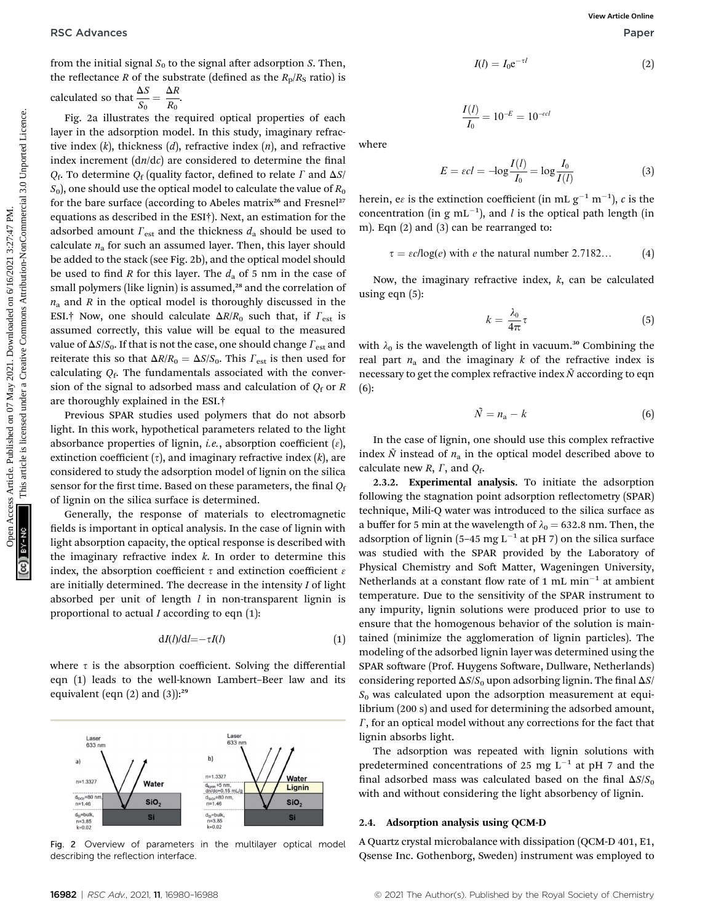$\tau l$  (2)

from the initial signal  $S_0$  to the signal after adsorption S. Then, the reflectance R of the substrate (defined as the  $R_p/R_s$  ratio) is

calculated so that  $\frac{\Delta S}{S_0} = \frac{\Delta R}{R_0}$ .

Fig. 2a illustrates the required optical properties of each layer in the adsorption model. In this study, imaginary refractive index  $(k)$ , thickness  $(d)$ , refractive index  $(n)$ , and refractive index increment  $(dn/dc)$  are considered to determine the final  $Q_f$ . To determine  $Q_f$  (quality factor, defined to relate  $\Gamma$  and  $\Delta S$ /  $S_0$ , one should use the optical model to calculate the value of  $R_0$ for the bare surface (according to Abeles matrix<sup>26</sup> and Fresnel<sup>27</sup> equations as described in the ESI†). Next, an estimation for the adsorbed amount  $\Gamma_{\text{est}}$  and the thickness  $d_{\text{a}}$  should be used to calculate  $n_a$  for such an assumed layer. Then, this layer should be added to the stack (see Fig. 2b), and the optical model should be used to find R for this layer. The  $d_a$  of 5 nm in the case of small polymers (like lignin) is assumed,<sup>28</sup> and the correlation of  $n_a$  and R in the optical model is thoroughly discussed in the ESI.† Now, one should calculate  $\Delta R/R_0$  such that, if  $\Gamma_{\text{est}}$  is assumed correctly, this value will be equal to the measured value of  $\Delta S/S_0$ . If that is not the case, one should change  $\Gamma_{\text{est}}$  and reiterate this so that  $\Delta R/R_0 = \Delta S/S_0$ . This  $\Gamma_{\text{est}}$  is then used for calculating  $Q_f$ . The fundamentals associated with the conversion of the signal to adsorbed mass and calculation of  $Q_f$  or R are thoroughly explained in the ESI.† **PSC** Advances <br>
from the initial signal  $S_i$  to the signal after a dsorption 5. Then,<br>
the redictance for the signal operation is the  $\frac{K}{\pi} = 10^{-4} = 10^{-4}$ <br>  $\frac{1}{2}$  in the signal of the signal operation (signal prop

Previous SPAR studies used polymers that do not absorb light. In this work, hypothetical parameters related to the light absorbance properties of lignin, *i.e.*, absorption coefficient  $(\varepsilon)$ , extinction coefficient  $(\tau)$ , and imaginary refractive index  $(k)$ , are considered to study the adsorption model of lignin on the silica sensor for the first time. Based on these parameters, the final  $Q_f$ of lignin on the silica surface is determined.

Generally, the response of materials to electromagnetic fields is important in optical analysis. In the case of lignin with light absorption capacity, the optical response is described with the imaginary refractive index  $k$ . In order to determine this index, the absorption coefficient  $\tau$  and extinction coefficient  $\varepsilon$ are initially determined. The decrease in the intensity I of light absorbed per unit of length  $l$  in non-transparent lignin is proportional to actual  $I$  according to eqn  $(1)$ :

$$
dI(l)/dl = -\tau I(l) \tag{1}
$$

where  $\tau$  is the absorption coefficient. Solving the differential eqn (1) leads to the well-known Lambert–Beer law and its equivalent (eqn  $(2)$  and  $(3)$ ):<sup>29</sup>



Fig. 2 Overview of parameters in the multilayer optical model describing the reflection interface.

where

$$
E = \varepsilon cl = -\log \frac{I(l)}{I_0} = \log \frac{I_0}{I(l)} \tag{3}
$$

herein, e $\varepsilon$  is the extinction coefficient (in mL  $\rm g^{-1}$  m $^{-1}$ ),  $c$  is the concentration (in  $g$  mL<sup>-1</sup>), and *l* is the optical path length (in m). Eqn (2) and (3) can be rearranged to:

 $\frac{v}{I_0} = 10^{-E} = 10^{-\epsilon c_0}$ 

 $I(l) = I_0 e^{-\frac{1}{2}}$ 

 $I(l)$ 

$$
\tau = \varepsilon c / \log(e)
$$
 with *e* the natural number 2.7182... (4)

Now, the imaginary refractive index,  $k$ , can be calculated using eqn (5):

$$
k = \frac{\lambda_0}{4\pi} \tau \tag{5}
$$

with  $\lambda_0$  is the wavelength of light in vacuum.<sup>30</sup> Combining the real part  $n_a$  and the imaginary k of the refractive index is necessary to get the complex refractive index  $\tilde{N}$  according to eqn (6):

$$
\tilde{N} = n_{\rm a} - k \tag{6}
$$

In the case of lignin, one should use this complex refractive index  $\tilde{N}$  instead of  $n_a$  in the optical model described above to calculate new  $R$ ,  $\Gamma$ , and  $Q_f$ .

2.3.2. Experimental analysis. To initiate the adsorption following the stagnation point adsorption reflectometry (SPAR) technique, Mili-Q water was introduced to the silica surface as a buffer for 5 min at the wavelength of  $\lambda_0 = 632.8$  nm. Then, the adsorption of lignin (5-45 mg L<sup>-1</sup> at pH 7) on the silica surface was studied with the SPAR provided by the Laboratory of Physical Chemistry and Soft Matter, Wageningen University, Netherlands at a constant flow rate of 1 mL  $min^{-1}$  at ambient temperature. Due to the sensitivity of the SPAR instrument to any impurity, lignin solutions were produced prior to use to ensure that the homogenous behavior of the solution is maintained (minimize the agglomeration of lignin particles). The modeling of the adsorbed lignin layer was determined using the SPAR software (Prof. Huygens Software, Dullware, Netherlands) considering reported  $\Delta S/S_0$  upon adsorbing lignin. The final  $\Delta S/S_0$  $S_0$  was calculated upon the adsorption measurement at equilibrium (200 s) and used for determining the adsorbed amount,  $\Gamma$ , for an optical model without any corrections for the fact that lignin absorbs light.

The adsorption was repeated with lignin solutions with predetermined concentrations of 25 mg  $L^{-1}$  at pH 7 and the final adsorbed mass was calculated based on the final  $\Delta S/S_0$ with and without considering the light absorbency of lignin.

#### 2.4. Adsorption analysis using QCM-D

A Quartz crystal microbalance with dissipation (QCM-D 401, E1, Qsense Inc. Gothenborg, Sweden) instrument was employed to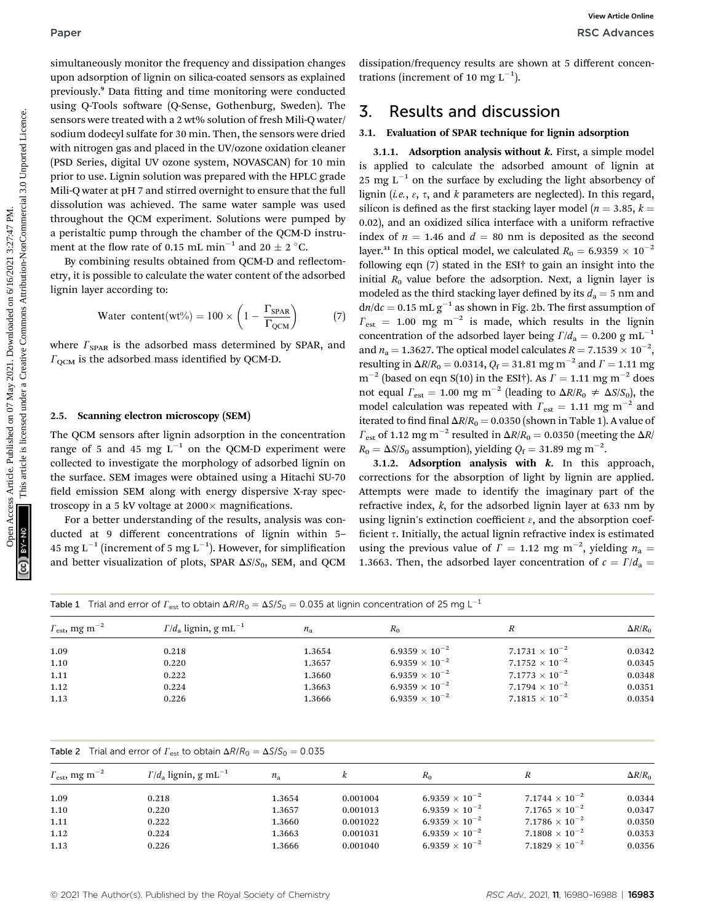simultaneously monitor the frequency and dissipation changes upon adsorption of lignin on silica-coated sensors as explained previously.<sup>9</sup> Data fitting and time monitoring were conducted using Q-Tools software (Q-Sense, Gothenburg, Sweden). The sensors were treated with a 2 wt% solution of fresh Mili-Q water/ sodium dodecyl sulfate for 30 min. Then, the sensors were dried with nitrogen gas and placed in the UV/ozone oxidation cleaner (PSD Series, digital UV ozone system, NOVASCAN) for 10 min prior to use. Lignin solution was prepared with the HPLC grade Mili-Q water at pH 7 and stirred overnight to ensure that the full dissolution was achieved. The same water sample was used throughout the QCM experiment. Solutions were pumped by a peristaltic pump through the chamber of the QCM-D instrument at the flow rate of 0.15 mL min<sup>-1</sup> and 20  $\pm$  2 °C.

By combining results obtained from QCM-D and reflectometry, it is possible to calculate the water content of the adsorbed lignin layer according to:

Water content(wt%) = 
$$
100 \times \left(1 - \frac{\Gamma_{SPAR}}{\Gamma_{QCM}}\right)
$$
 (7)

where  $\Gamma_{\text{SPAR}}$  is the adsorbed mass determined by SPAR, and  $\Gamma_{\text{OCM}}$  is the adsorbed mass identified by QCM-D.

#### 2.5. Scanning electron microscopy (SEM)

The QCM sensors after lignin adsorption in the concentration range of 5 and 45 mg  $L^{-1}$  on the QCM-D experiment were collected to investigate the morphology of adsorbed lignin on the surface. SEM images were obtained using a Hitachi SU-70 field emission SEM along with energy dispersive X-ray spectroscopy in a 5 kV voltage at  $2000 \times$  magnifications.

For a better understanding of the results, analysis was conducted at 9 different concentrations of lignin within 5– 45 mg L<sup>-1</sup> (increment of 5 mg L<sup>-1</sup>). However, for simplification and better visualization of plots, SPAR  $\Delta S/S_0$ , SEM, and QCM dissipation/frequency results are shown at 5 different concentrations (increment of 10 mg  $L^{-1}$ ).

# 3. Results and discussion

#### 3.1. Evaluation of SPAR technique for lignin adsorption

3.1.1. Adsorption analysis without  $k$ . First, a simple model is applied to calculate the adsorbed amount of lignin at 25 mg  $L^{-1}$  on the surface by excluding the light absorbency of lignin (*i.e.*,  $\varepsilon$ ,  $\tau$ , and  $k$  parameters are neglected). In this regard, silicon is defined as the first stacking layer model ( $n = 3.85$ ,  $k =$ 0.02), and an oxidized silica interface with a uniform refractive index of  $n = 1.46$  and  $d = 80$  nm is deposited as the second layer.<sup>31</sup> In this optical model, we calculated  $R_0 = 6.9359 \times 10^{-2}$ following eqn (7) stated in the ESI† to gain an insight into the initial  $R_0$  value before the adsorption. Next, a lignin layer is modeled as the third stacking layer defined by its  $d_a = 5$  nm and  $dn/dc = 0.15$  mL  $g^{-1}$  as shown in Fig. 2b. The first assumption of  $T_{\text{est}}$  = 1.00 mg m<sup>-2</sup> is made, which results in the lignin concentration of the adsorbed layer being  $\Gamma/d_a = 0.200 \text{ g m}L^{-1}$ and  $n_a = 1.3627$ . The optical model calculates  $R = 7.1539 \times 10^{-2}$ , resulting in  $\Delta R/R_0 = 0.0314$ ,  $Q_f = 31.81$  mg m<sup>-2</sup> and  $\Gamma = 1.11$  mg  $m^{-2}$  (based on eqn S(10) in the ESI†). As  $\Gamma = 1.11$  mg  $m^{-2}$  does not equal  $\Gamma_{\text{est}} = 1.00 \text{ mg m}^{-2}$  (leading to  $\Delta R/R_0 \neq \Delta S/S_0$ ), the model calculation was repeated with  $\Gamma_{\text{est}} = 1.11 \text{ mg m}^{-2}$  and iterated to find final  $\Delta R/R_0 = 0.0350$  (shown in Table 1). A value of  $\Gamma_{\rm est}$  of 1.12 mg m<sup>-2</sup> resulted in  $\Delta R/R_0 = 0.0350$  (meeting the  $\Delta R/R_0$  $R_0 = \Delta S/S_0$  assumption), yielding  $Q_{\rm f} = 31.89$  mg m<sup>-2</sup>. Paper<br>
Secretaries are shown as the simulation of the system of the method of the system of the system of the system of the system of the system of the system of the system of the system of the system of the system of the

3.1.2. Adsorption analysis with  $k$ . In this approach, corrections for the absorption of light by lignin are applied. Attempts were made to identify the imaginary part of the refractive index,  $k$ , for the adsorbed lignin layer at 633 nm by using lignin's extinction coefficient  $\varepsilon$ , and the absorption coefficient  $\tau$ . Initially, the actual lignin refractive index is estimated using the previous value of  $\Gamma = 1.12$  mg m<sup>-2</sup>, yielding  $n_a =$ 1.3663. Then, the adsorbed layer concentration of  $c = I/d_a$  =

Table 1 Trial and error of  $\Gamma_{\rm est}$  to obtain  $\Delta R/R_0 = \Delta S/S_0 = 0.035$  at lignin concentration of 25 mg L<sup>-1</sup>

| $\Gamma_{\rm est}$ , mg m <sup>-2</sup> | $\Gamma/d_a$ lignin, g mL <sup>-1</sup> | $n_{\rm a}$ | $R_0$                            |                         | $\Delta R/R_0$ |
|-----------------------------------------|-----------------------------------------|-------------|----------------------------------|-------------------------|----------------|
| 1.09                                    | 0.218                                   | 1.3654      | 6.9359 $\times$ 10 <sup>-2</sup> | $7.1731 \times 10^{-2}$ | 0.0342         |
| 1.10                                    | 0.220                                   | 1.3657      | 6.9359 $\times$ 10 <sup>-2</sup> | $7.1752 \times 10^{-2}$ | 0.0345         |
| 1.11                                    | 0.222                                   | 1.3660      | 6.9359 $\times$ 10 $^{-2}$       | $7.1773 \times 10^{-2}$ | 0.0348         |
| 1.12                                    | 0.224                                   | 1.3663      | 6.9359 $\times$ 10 <sup>-2</sup> | $7.1794 \times 10^{-2}$ | 0.0351         |
| 1.13                                    | 0.226                                   | 1.3666      | 6.9359 $\times$ 10 $^{-2}$       | $7.1815 \times 10^{-2}$ | 0.0354         |

### Table 2 Trial and error of  $\Gamma_{\text{est}}$  to obtain  $\Delta R/R_0 = \Delta S/S_0 = 0.035$

| $\Gamma_{\rm est}$ , mg m $^{-2}$ | $\Gamma/d_a$ lignin, g mL <sup>-1</sup> | $n_{\rm a}$ |          | $R_0$                            |                         | $\Delta R/R_0$ |
|-----------------------------------|-----------------------------------------|-------------|----------|----------------------------------|-------------------------|----------------|
| 1.09                              | 0.218                                   | 1.3654      | 0.001004 | 6.9359 $\times$ 10 <sup>-2</sup> | $7.1744 \times 10^{-2}$ | 0.0344         |
| 1.10                              | 0.220                                   | 1.3657      | 0.001013 | 6.9359 $\times$ 10 $^{-2}$       | $7.1765 \times 10^{-2}$ | 0.0347         |
| 1.11                              | 0.222                                   | 1.3660      | 0.001022 | 6.9359 $\times$ 10 <sup>-2</sup> | $7.1786 \times 10^{-2}$ | 0.0350         |
| 1.12                              | 0.224                                   | 1.3663      | 0.001031 | 6.9359 $\times$ 10 <sup>-2</sup> | $7.1808\times10^{-2}$   | 0.0353         |
| 1.13                              | 0.226                                   | 1.3666      | 0.001040 | 6.9359 $\times$ 10 <sup>-2</sup> | $7.1829 \times 10^{-2}$ | 0.0356         |
|                                   |                                         |             |          |                                  |                         |                |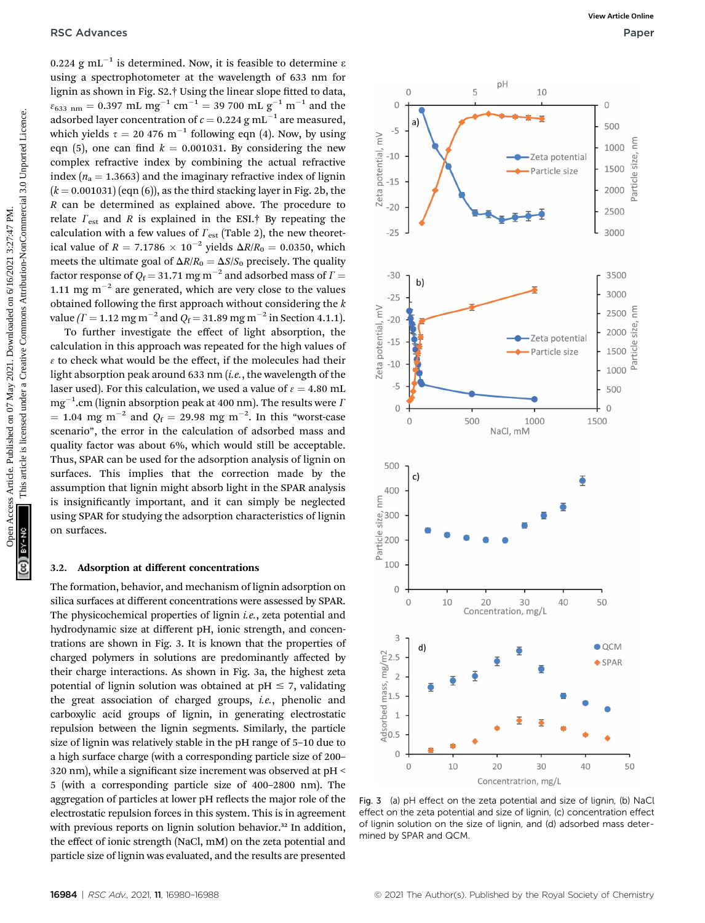0.224  ${\rm g\;mL^{-1}}$  is determined. Now, it is feasible to determine  ${\rm g}$ using a spectrophotometer at the wavelength of 633 nm for lignin as shown in Fig. S2.† Using the linear slope fitted to data,  $\varepsilon_{633\text{ nm}} = 0.397 \text{ mL mg}^{-1} \text{ cm}^{-1} = 39\text{ 700 mL g}^{-1} \text{ m}^{-1}$  and the adsorbed layer concentration of  $c = 0.224$  g mL<sup>-1</sup> are measured, which yields  $\tau = 20\,476\,\mathrm{m}^{-1}$  following eqn (4). Now, by using eqn (5), one can find  $k = 0.001031$ . By considering the new complex refractive index by combining the actual refractive index ( $n_a = 1.3663$ ) and the imaginary refractive index of lignin  $(k = 0.001031)$  (eqn (6)), as the third stacking layer in Fig. 2b, the R can be determined as explained above. The procedure to relate  $\Gamma_{\text{est}}$  and R is explained in the ESI.<sup>†</sup> By repeating the calculation with a few values of  $\Gamma_{\rm est}$  (Table 2), the new theoretical value of  $R = 7.1786 \times 10^{-2}$  yields  $\Delta R/R_0 = 0.0350$ , which meets the ultimate goal of  $\Delta R/R_0 = \Delta S/S_0$  precisely. The quality factor response of  $Q_{\rm f} = 31.71$  mg m<sup>-2</sup> and adsorbed mass of  $\Gamma =$ 1.11 mg  $m^{-2}$  are generated, which are very close to the values obtained following the first approach without considering the  $k$ value ( $\Gamma = 1.12 \text{ mg m}^{-2}$  and  $Q_{\text{f}} = 31.89 \text{ mg m}^{-2}$  in Section 4.1.1).

To further investigate the effect of light absorption, the calculation in this approach was repeated for the high values of  $\varepsilon$  to check what would be the effect, if the molecules had their light absorption peak around 633 nm (i.e., the wavelength of the laser used). For this calculation, we used a value of  $\varepsilon = 4.80$  mL  ${\rm mg^{-1}}.$ cm (lignin absorption peak at 400 nm). The results were  $\varGamma$  $= 1.04$  mg m<sup>-2</sup> and  $Q_f = 29.98$  mg m<sup>-2</sup>. In this "worst-case scenario", the error in the calculation of adsorbed mass and quality factor was about 6%, which would still be acceptable. Thus, SPAR can be used for the adsorption analysis of lignin on surfaces. This implies that the correction made by the assumption that lignin might absorb light in the SPAR analysis is insignificantly important, and it can simply be neglected using SPAR for studying the adsorption characteristics of lignin on surfaces.

#### 3.2. Adsorption at different concentrations

The formation, behavior, and mechanism of lignin adsorption on silica surfaces at different concentrations were assessed by SPAR. The physicochemical properties of lignin *i.e.*, zeta potential and hydrodynamic size at different pH, ionic strength, and concentrations are shown in Fig. 3. It is known that the properties of charged polymers in solutions are predominantly affected by their charge interactions. As shown in Fig. 3a, the highest zeta potential of lignin solution was obtained at  $pH \le 7$ , validating the great association of charged groups, i.e., phenolic and carboxylic acid groups of lignin, in generating electrostatic repulsion between the lignin segments. Similarly, the particle size of lignin was relatively stable in the pH range of 5–10 due to a high surface charge (with a corresponding particle size of 200–  $320$  nm), while a significant size increment was observed at  $pH <$ 5 (with a corresponding particle size of 400–2800 nm). The aggregation of particles at lower pH reflects the major role of the electrostatic repulsion forces in this system. This is in agreement with previous reports on lignin solution behavior.<sup>32</sup> In addition, the effect of ionic strength (NaCl, mM) on the zeta potential and particle size of lignin was evaluated, and the results are presented



Fig. 3 (a) pH effect on the zeta potential and size of lignin, (b) NaCl effect on the zeta potential and size of lignin, (c) concentration effect of lignin solution on the size of lignin, and (d) adsorbed mass determined by SPAR and QCM.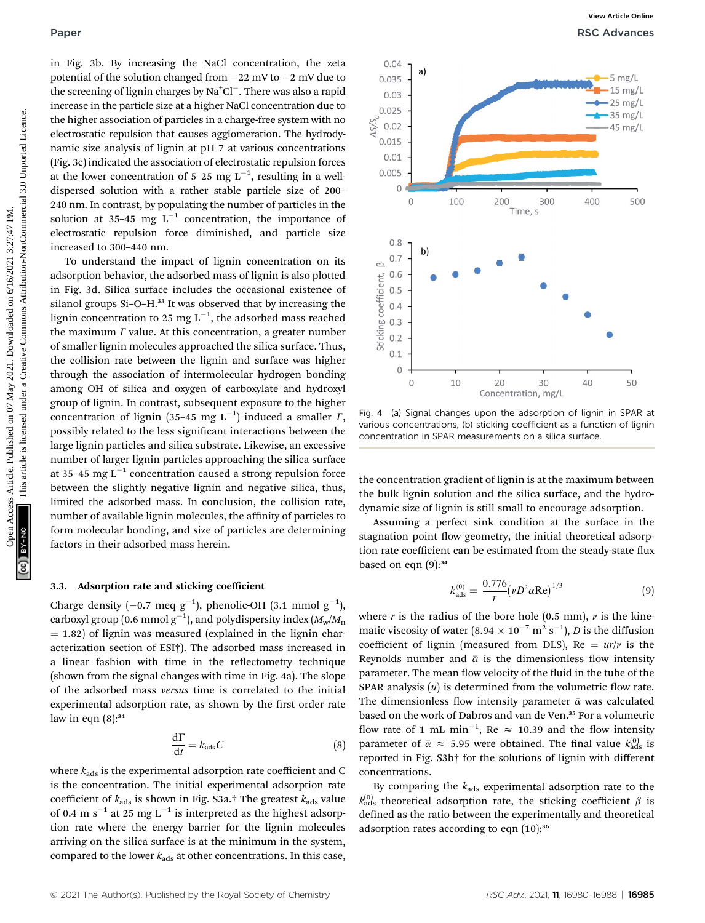in Fig. 3b. By increasing the NaCl concentration, the zeta potential of the solution changed from  $-22$  mV to  $-2$  mV due to the screening of lignin charges by  $\text{Na}^+\text{Cl}^-$ . There was also a rapid increase in the particle size at a higher NaCl concentration due to the higher association of particles in a charge-free system with no electrostatic repulsion that causes agglomeration. The hydrodynamic size analysis of lignin at pH 7 at various concentrations (Fig. 3c) indicated the association of electrostatic repulsion forces at the lower concentration of 5-25 mg  $L^{-1}$ , resulting in a welldispersed solution with a rather stable particle size of 200– 240 nm. In contrast, by populating the number of particles in the solution at 35-45 mg  $L^{-1}$  concentration, the importance of electrostatic repulsion force diminished, and particle size increased to 300–440 nm.

To understand the impact of lignin concentration on its adsorption behavior, the adsorbed mass of lignin is also plotted in Fig. 3d. Silica surface includes the occasional existence of silanol groups Si-O-H.<sup>33</sup> It was observed that by increasing the lignin concentration to 25 mg  $L^{-1}$ , the adsorbed mass reached the maximum  $\Gamma$  value. At this concentration, a greater number of smaller lignin molecules approached the silica surface. Thus, the collision rate between the lignin and surface was higher through the association of intermolecular hydrogen bonding among OH of silica and oxygen of carboxylate and hydroxyl group of lignin. In contrast, subsequent exposure to the higher concentration of lignin (35-45 mg  $L^{-1}$ ) induced a smaller  $\Gamma$ , possibly related to the less significant interactions between the large lignin particles and silica substrate. Likewise, an excessive number of larger lignin particles approaching the silica surface at 35–45 mg  $\mathrm{L}^{-1}$  concentration caused a strong repulsion force between the slightly negative lignin and negative silica, thus, limited the adsorbed mass. In conclusion, the collision rate, number of available lignin molecules, the affinity of particles to form molecular bonding, and size of particles are determining factors in their adsorbed mass herein.

#### 3.3. Adsorption rate and sticking coefficient

Charge density  $(-0.7 \text{ meq g}^{-1})$ , phenolic-OH  $(3.1 \text{ mmol g}^{-1})$ , carboxyl group (0.6 mmol  $\rm g^{-1})$ , and polydispersity index  $(M_{\rm w}/M_{\rm n})$  $= 1.82$ ) of lignin was measured (explained in the lignin characterization section of ESI†). The adsorbed mass increased in a linear fashion with time in the reflectometry technique (shown from the signal changes with time in Fig. 4a). The slope of the adsorbed mass versus time is correlated to the initial experimental adsorption rate, as shown by the first order rate law in eqn  $(8)$ :<sup>34</sup>

$$
\frac{d\Gamma}{dt} = k_{ads}C\tag{8}
$$

where  $k_{\rm ads}$  is the experimental adsorption rate coefficient and C is the concentration. The initial experimental adsorption rate coefficient of  $k_{\text{ads}}$  is shown in Fig. S3a.† The greatest  $k_{\text{ads}}$  value of 0.4 m s<sup>-1</sup> at 25 mg L<sup>-1</sup> is interpreted as the highest adsorption rate where the energy barrier for the lignin molecules arriving on the silica surface is at the minimum in the system, compared to the lower  $k_{ads}$  at other concentrations. In this case,



Fig. 4 (a) Signal changes upon the adsorption of lignin in SPAR at various concentrations, (b) sticking coefficient as a function of lignin concentration in SPAR measurements on a silica surface.

the concentration gradient of lignin is at the maximum between the bulk lignin solution and the silica surface, and the hydrodynamic size of lignin is still small to encourage adsorption.

Assuming a perfect sink condition at the surface in the stagnation point flow geometry, the initial theoretical adsorption rate coefficient can be estimated from the steady-state flux based on eqn  $(9):^{34}$ 

$$
k_{\text{ads}}^{(0)} = \frac{0.776}{r} (\nu D^2 \overline{\alpha} \text{Re})^{1/3}
$$
 (9)

where r is the radius of the bore hole (0.5 mm),  $\nu$  is the kinematic viscosity of water (8.94  $\times$  10<sup>-7</sup> m<sup>2</sup> s<sup>-1</sup>), *D* is the diffusion coefficient of lignin (measured from DLS), Re =  $ur/v$  is the Reynolds number and  $\bar{\alpha}$  is the dimensionless flow intensity parameter. The mean flow velocity of the fluid in the tube of the SPAR analysis  $(u)$  is determined from the volumetric flow rate. The dimensionless flow intensity parameter  $\bar{\alpha}$  was calculated based on the work of Dabros and van de Ven.<sup>35</sup> For a volumetric flow rate of 1 mL min<sup>-1</sup>, Re  $\approx$  10.39 and the flow intensity parameter of  $\bar{\alpha} \approx 5.95$  were obtained. The final value  $k_{\text{ads}}^{(0)}$  is reported in Fig. S3b† for the solutions of lignin with different concentrations.

By comparing the  $k_{ads}$  experimental adsorption rate to the  $k_{\text{ads}}^{(0)}$  theoretical adsorption rate, the sticking coefficient  $\beta$  is defined as the ratio between the experimentally and theoretical adsorption rates according to eqn (10):<sup>36</sup>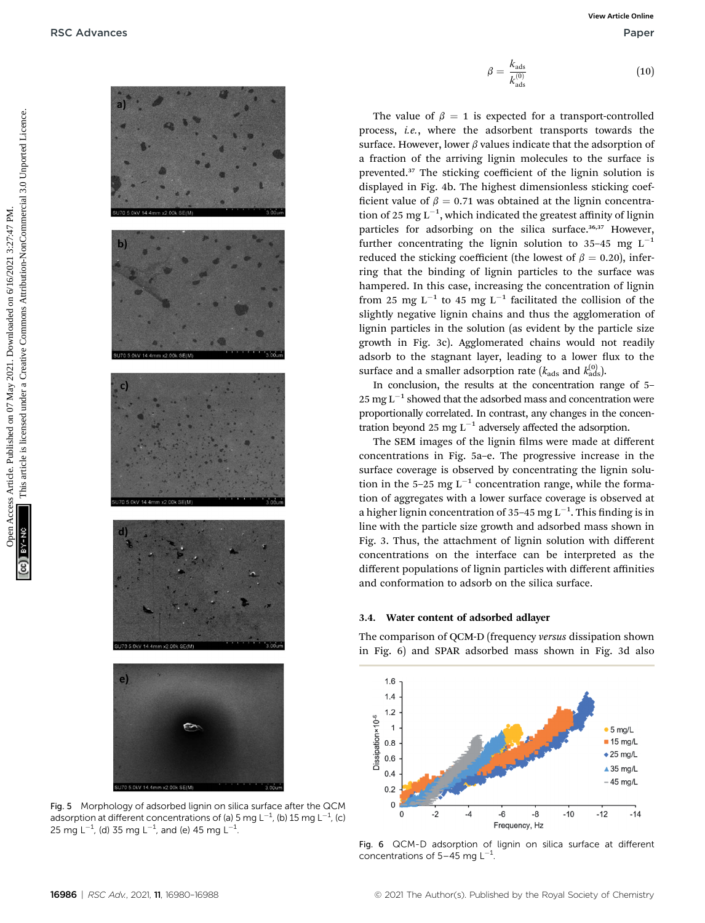

Fig. 5 Morphology of adsorbed lignin on silica surface after the QCM adsorption at different concentrations of (a) 5 mg L<sup>-1</sup>, (b) 15 mg L<sup>-1</sup>, (c) 25 mg L $^{-1}$ , (d) 35 mg L $^{-1}$ , and (e) 45 mg L $^{-1}$ .

$$
\beta = \frac{k_{\text{ads}}}{k_{\text{ads}}^{(0)}}\tag{10}
$$

The value of  $\beta = 1$  is expected for a transport-controlled process, i.e., where the adsorbent transports towards the surface. However, lower  $\beta$  values indicate that the adsorption of a fraction of the arriving lignin molecules to the surface is prevented.<sup>37</sup> The sticking coefficient of the lignin solution is displayed in Fig. 4b. The highest dimensionless sticking coef ficient value of  $\beta = 0.71$  was obtained at the lignin concentration of 25 mg  $L^{-1}$ , which indicated the greatest affinity of lignin particles for adsorbing on the silica surface.<sup>36,37</sup> However, further concentrating the lignin solution to 35-45 mg  $L^{-1}$ reduced the sticking coefficient (the lowest of  $\beta = 0.20$ ), inferring that the binding of lignin particles to the surface was hampered. In this case, increasing the concentration of lignin from 25 mg  $L^{-1}$  to 45 mg  $L^{-1}$  facilitated the collision of the slightly negative lignin chains and thus the agglomeration of lignin particles in the solution (as evident by the particle size growth in Fig. 3c). Agglomerated chains would not readily adsorb to the stagnant layer, leading to a lower flux to the surface and a smaller adsorption rate ( $k_{\text{ads}}$  and  $k_{\text{ads}}^{(0)}$ ).

In conclusion, the results at the concentration range of 5–  $25 \text{ mg L}^{-1}$  showed that the adsorbed mass and concentration were proportionally correlated. In contrast, any changes in the concentration beyond 25 mg  $L^{-1}$  adversely affected the adsorption.

The SEM images of the lignin films were made at different concentrations in Fig. 5a–e. The progressive increase in the surface coverage is observed by concentrating the lignin solution in the 5-25 mg  $L^{-1}$  concentration range, while the formation of aggregates with a lower surface coverage is observed at a higher lignin concentration of 35–45 mg  $\mathrm{L}^{-1}.$  This finding is in line with the particle size growth and adsorbed mass shown in Fig. 3. Thus, the attachment of lignin solution with different concentrations on the interface can be interpreted as the different populations of lignin particles with different affinities and conformation to adsorb on the silica surface.

### 3.4. Water content of adsorbed adlayer

The comparison of QCM-D (frequency versus dissipation shown in Fig. 6) and SPAR adsorbed mass shown in Fig. 3d also



Fig. 6 QCM-D adsorption of lignin on silica surface at different concentrations of  $5-45$  mg  $L^{-1}$ .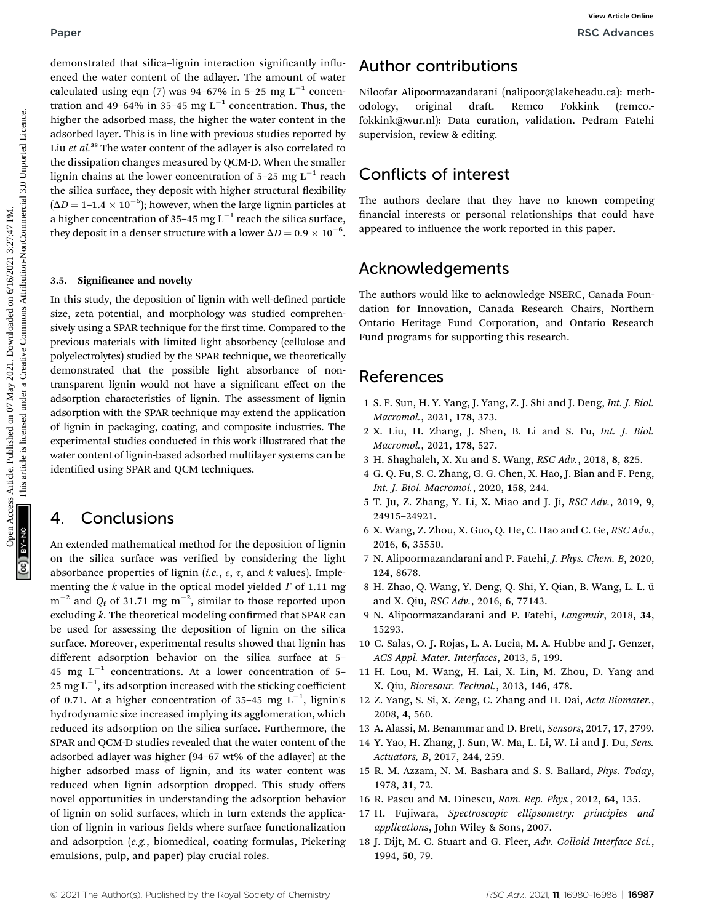demonstrated that silica-lignin interaction significantly influenced the water content of the adlayer. The amount of water calculated using eqn (7) was 94-67% in 5-25 mg  $L^{-1}$  concentration and 49–64% in 35–45 mg  $L^{-1}$  concentration. Thus, the higher the adsorbed mass, the higher the water content in the adsorbed layer. This is in line with previous studies reported by Liu et al.<sup>38</sup> The water content of the adlayer is also correlated to the dissipation changes measured by QCM-D. When the smaller lignin chains at the lower concentration of 5–25 mg  $L^{-1}$  reach the silica surface, they deposit with higher structural flexibility  $(\Delta D = 1$ -1.4  $\times$  10<sup>-6</sup>); however, when the large lignin particles at a higher concentration of 35–45 mg  $\mathrm{L}^{-1}$  reach the silica surface, they deposit in a denser structure with a lower  $\Delta D = 0.9 \times 10^{-6}$ . Paper<br>
Secretarius contents of the silence on the second on the second on the second on the second on the second on the second of the second on the second on the second on  $\theta$  are the second on the second unport in the s

#### 3.5. Significance and novelty

In this study, the deposition of lignin with well-defined particle size, zeta potential, and morphology was studied comprehensively using a SPAR technique for the first time. Compared to the previous materials with limited light absorbency (cellulose and polyelectrolytes) studied by the SPAR technique, we theoretically demonstrated that the possible light absorbance of nontransparent lignin would not have a signicant effect on the adsorption characteristics of lignin. The assessment of lignin adsorption with the SPAR technique may extend the application of lignin in packaging, coating, and composite industries. The experimental studies conducted in this work illustrated that the water content of lignin-based adsorbed multilayer systems can be identified using SPAR and QCM techniques.

## 4. Conclusions

An extended mathematical method for the deposition of lignin on the silica surface was verified by considering the light absorbance properties of lignin (*i.e.*,  $\varepsilon$ ,  $\tau$ , and *k* values). Implementing the  $k$  value in the optical model yielded  $\Gamma$  of 1.11 mg  $\rm m^{-2}$  and  $\rm Q_{f}$  of 31.71 mg  $\rm m^{-2}$ , similar to those reported upon excluding  $k$ . The theoretical modeling confirmed that SPAR can be used for assessing the deposition of lignin on the silica surface. Moreover, experimental results showed that lignin has different adsorption behavior on the silica surface at 5– 45 mg  $L^{-1}$  concentrations. At a lower concentration of 5-25 mg L $^{-1}$ , its adsorption increased with the sticking coefficient of 0.71. At a higher concentration of 35-45 mg  $L^{-1}$ , lignin's hydrodynamic size increased implying its agglomeration, which reduced its adsorption on the silica surface. Furthermore, the SPAR and QCM-D studies revealed that the water content of the adsorbed adlayer was higher (94–67 wt% of the adlayer) at the higher adsorbed mass of lignin, and its water content was reduced when lignin adsorption dropped. This study offers novel opportunities in understanding the adsorption behavior of lignin on solid surfaces, which in turn extends the application of lignin in various fields where surface functionalization and adsorption (e.g., biomedical, coating formulas, Pickering emulsions, pulp, and paper) play crucial roles.

# Author contributions

Niloofar Alipoormazandarani ([nalipoor@lakeheadu.ca\)](mailto:nalipoor@lakeheadu.ca): meth-odology, original draft. Remco Fokkink [\(remco.](mailto:remco.fokkink@wur.nl) [fokkink@wur.nl\)](mailto:remco.fokkink@wur.nl): Data curation, validation. Pedram Fatehi supervision, review & editing.

# Conflicts of interest

The authors declare that they have no known competing financial interests or personal relationships that could have appeared to influence the work reported in this paper.

# Acknowledgements

The authors would like to acknowledge NSERC, Canada Foundation for Innovation, Canada Research Chairs, Northern Ontario Heritage Fund Corporation, and Ontario Research Fund programs for supporting this research.

# References

- 1 S. F. Sun, H. Y. Yang, J. Yang, Z. J. Shi and J. Deng, Int. J. Biol. Macromol., 2021, 178, 373.
- 2 X. Liu, H. Zhang, J. Shen, B. Li and S. Fu, Int. J. Biol. Macromol., 2021, 178, 527.
- 3 H. Shaghaleh, X. Xu and S. Wang, RSC Adv., 2018, 8, 825.
- 4 G. Q. Fu, S. C. Zhang, G. G. Chen, X. Hao, J. Bian and F. Peng, Int. J. Biol. Macromol., 2020, 158, 244.
- 5 T. Ju, Z. Zhang, Y. Li, X. Miao and J. Ji, RSC Adv., 2019, 9, 24915–24921.
- 6 X. Wang, Z. Zhou, X. Guo, Q. He, C. Hao and C. Ge, RSC Adv., 2016, 6, 35550.
- 7 N. Alipoormazandarani and P. Fatehi, J. Phys. Chem. B, 2020, 124, 8678.
- 8 H. Zhao, Q. Wang, Y. Deng, Q. Shi, Y. Qian, B. Wang, L. L. ü and X. Qiu, RSC Adv., 2016, 6, 77143.
- 9 N. Alipoormazandarani and P. Fatehi, Langmuir, 2018, 34, 15293.
- 10 C. Salas, O. J. Rojas, L. A. Lucia, M. A. Hubbe and J. Genzer, ACS Appl. Mater. Interfaces, 2013, 5, 199.
- 11 H. Lou, M. Wang, H. Lai, X. Lin, M. Zhou, D. Yang and X. Qiu, Bioresour. Technol., 2013, 146, 478.
- 12 Z. Yang, S. Si, X. Zeng, C. Zhang and H. Dai, Acta Biomater., 2008, 4, 560.
- 13 A. Alassi, M. Benammar and D. Brett, Sensors, 2017, 17, 2799.
- 14 Y. Yao, H. Zhang, J. Sun, W. Ma, L. Li, W. Li and J. Du, Sens. Actuators, B, 2017, 244, 259.
- 15 R. M. Azzam, N. M. Bashara and S. S. Ballard, Phys. Today, 1978, 31, 72.
- 16 R. Pascu and M. Dinescu, Rom. Rep. Phys., 2012, 64, 135.
- 17 H. Fujiwara, Spectroscopic ellipsometry: principles and applications, John Wiley & Sons, 2007.
- 18 J. Dijt, M. C. Stuart and G. Fleer, Adv. Colloid Interface Sci., 1994, 50, 79.